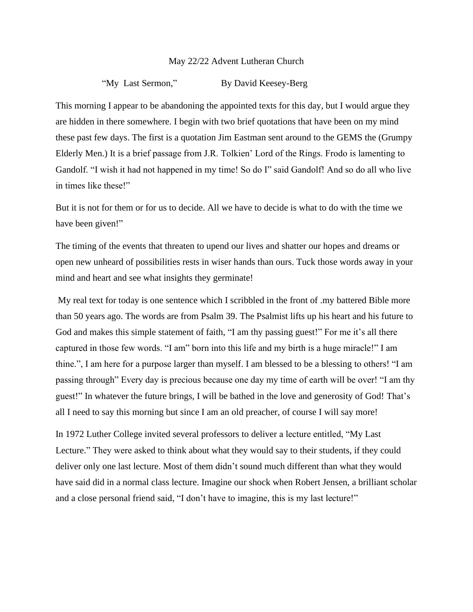## May 22/22 Advent Lutheran Church

"My Last Sermon," By David Keesey-Berg

This morning I appear to be abandoning the appointed texts for this day, but I would argue they are hidden in there somewhere. I begin with two brief quotations that have been on my mind these past few days. The first is a quotation Jim Eastman sent around to the GEMS the (Grumpy Elderly Men.) It is a brief passage from J.R. Tolkien' Lord of the Rings. Frodo is lamenting to Gandolf. "I wish it had not happened in my time! So do I" said Gandolf! And so do all who live in times like these!"

But it is not for them or for us to decide. All we have to decide is what to do with the time we have been given!"

The timing of the events that threaten to upend our lives and shatter our hopes and dreams or open new unheard of possibilities rests in wiser hands than ours. Tuck those words away in your mind and heart and see what insights they germinate!

My real text for today is one sentence which I scribbled in the front of .my battered Bible more than 50 years ago. The words are from Psalm 39. The Psalmist lifts up his heart and his future to God and makes this simple statement of faith, "I am thy passing guest!" For me it's all there captured in those few words. "I am" born into this life and my birth is a huge miracle!" I am thine.", I am here for a purpose larger than myself. I am blessed to be a blessing to others! "I am passing through" Every day is precious because one day my time of earth will be over! "I am thy guest!" In whatever the future brings, I will be bathed in the love and generosity of God! That's all I need to say this morning but since I am an old preacher, of course I will say more!

In 1972 Luther College invited several professors to deliver a lecture entitled, "My Last Lecture." They were asked to think about what they would say to their students, if they could deliver only one last lecture. Most of them didn't sound much different than what they would have said did in a normal class lecture. Imagine our shock when Robert Jensen, a brilliant scholar and a close personal friend said, "I don't have to imagine, this is my last lecture!"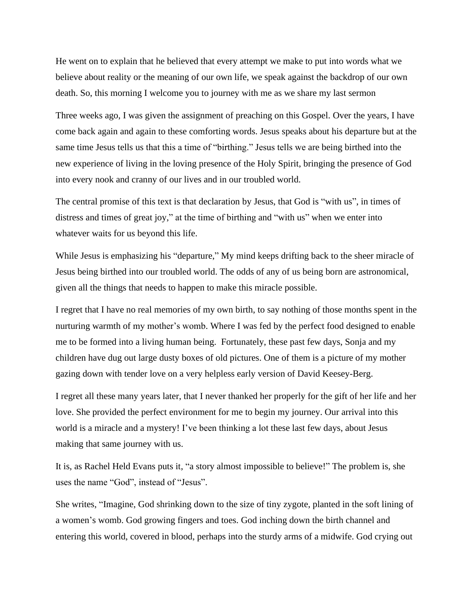He went on to explain that he believed that every attempt we make to put into words what we believe about reality or the meaning of our own life, we speak against the backdrop of our own death. So, this morning I welcome you to journey with me as we share my last sermon

Three weeks ago, I was given the assignment of preaching on this Gospel. Over the years, I have come back again and again to these comforting words. Jesus speaks about his departure but at the same time Jesus tells us that this a time of "birthing." Jesus tells we are being birthed into the new experience of living in the loving presence of the Holy Spirit, bringing the presence of God into every nook and cranny of our lives and in our troubled world.

The central promise of this text is that declaration by Jesus, that God is "with us", in times of distress and times of great joy," at the time of birthing and "with us" when we enter into whatever waits for us beyond this life.

While Jesus is emphasizing his "departure," My mind keeps drifting back to the sheer miracle of Jesus being birthed into our troubled world. The odds of any of us being born are astronomical, given all the things that needs to happen to make this miracle possible.

I regret that I have no real memories of my own birth, to say nothing of those months spent in the nurturing warmth of my mother's womb. Where I was fed by the perfect food designed to enable me to be formed into a living human being. Fortunately, these past few days, Sonja and my children have dug out large dusty boxes of old pictures. One of them is a picture of my mother gazing down with tender love on a very helpless early version of David Keesey-Berg.

I regret all these many years later, that I never thanked her properly for the gift of her life and her love. She provided the perfect environment for me to begin my journey. Our arrival into this world is a miracle and a mystery! I've been thinking a lot these last few days, about Jesus making that same journey with us.

It is, as Rachel Held Evans puts it, "a story almost impossible to believe!" The problem is, she uses the name "God", instead of "Jesus".

She writes, "Imagine, God shrinking down to the size of tiny zygote, planted in the soft lining of a women's womb. God growing fingers and toes. God inching down the birth channel and entering this world, covered in blood, perhaps into the sturdy arms of a midwife. God crying out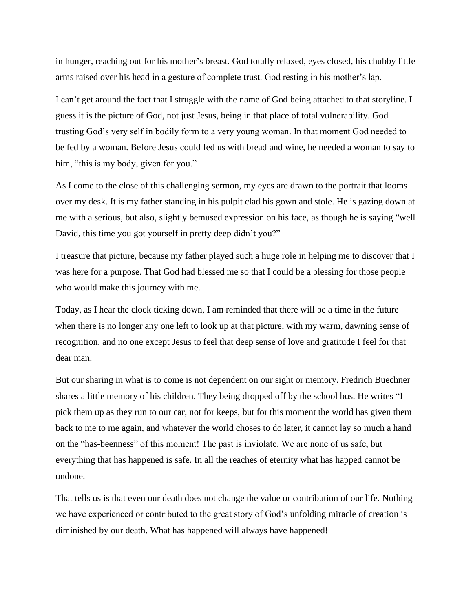in hunger, reaching out for his mother's breast. God totally relaxed, eyes closed, his chubby little arms raised over his head in a gesture of complete trust. God resting in his mother's lap.

I can't get around the fact that I struggle with the name of God being attached to that storyline. I guess it is the picture of God, not just Jesus, being in that place of total vulnerability. God trusting God's very self in bodily form to a very young woman. In that moment God needed to be fed by a woman. Before Jesus could fed us with bread and wine, he needed a woman to say to him, "this is my body, given for you."

As I come to the close of this challenging sermon, my eyes are drawn to the portrait that looms over my desk. It is my father standing in his pulpit clad his gown and stole. He is gazing down at me with a serious, but also, slightly bemused expression on his face, as though he is saying "well David, this time you got yourself in pretty deep didn't you?"

I treasure that picture, because my father played such a huge role in helping me to discover that I was here for a purpose. That God had blessed me so that I could be a blessing for those people who would make this journey with me.

Today, as I hear the clock ticking down, I am reminded that there will be a time in the future when there is no longer any one left to look up at that picture, with my warm, dawning sense of recognition, and no one except Jesus to feel that deep sense of love and gratitude I feel for that dear man.

But our sharing in what is to come is not dependent on our sight or memory. Fredrich Buechner shares a little memory of his children. They being dropped off by the school bus. He writes "I pick them up as they run to our car, not for keeps, but for this moment the world has given them back to me to me again, and whatever the world choses to do later, it cannot lay so much a hand on the "has-beenness" of this moment! The past is inviolate. We are none of us safe, but everything that has happened is safe. In all the reaches of eternity what has happed cannot be undone.

That tells us is that even our death does not change the value or contribution of our life. Nothing we have experienced or contributed to the great story of God's unfolding miracle of creation is diminished by our death. What has happened will always have happened!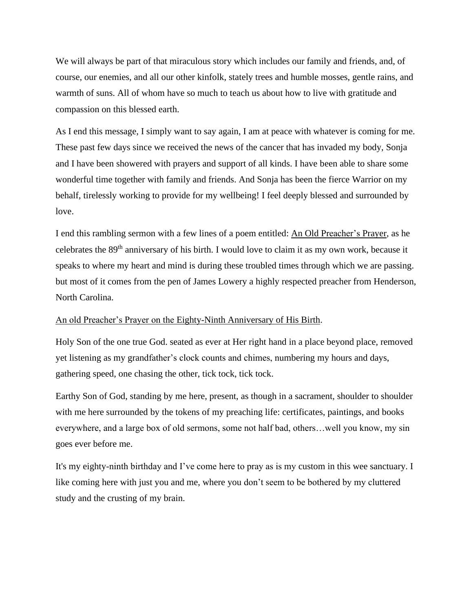We will always be part of that miraculous story which includes our family and friends, and, of course, our enemies, and all our other kinfolk, stately trees and humble mosses, gentle rains, and warmth of suns. All of whom have so much to teach us about how to live with gratitude and compassion on this blessed earth.

As I end this message, I simply want to say again, I am at peace with whatever is coming for me. These past few days since we received the news of the cancer that has invaded my body, Sonja and I have been showered with prayers and support of all kinds. I have been able to share some wonderful time together with family and friends. And Sonja has been the fierce Warrior on my behalf, tirelessly working to provide for my wellbeing! I feel deeply blessed and surrounded by love.

I end this rambling sermon with a few lines of a poem entitled: An Old Preacher's Prayer, as he celebrates the 89<sup>th</sup> anniversary of his birth. I would love to claim it as my own work, because it speaks to where my heart and mind is during these troubled times through which we are passing. but most of it comes from the pen of James Lowery a highly respected preacher from Henderson, North Carolina.

## An old Preacher's Prayer on the Eighty-Ninth Anniversary of His Birth.

Holy Son of the one true God. seated as ever at Her right hand in a place beyond place, removed yet listening as my grandfather's clock counts and chimes, numbering my hours and days, gathering speed, one chasing the other, tick tock, tick tock.

Earthy Son of God, standing by me here, present, as though in a sacrament, shoulder to shoulder with me here surrounded by the tokens of my preaching life: certificates, paintings, and books everywhere, and a large box of old sermons, some not half bad, others…well you know, my sin goes ever before me.

It's my eighty-ninth birthday and I've come here to pray as is my custom in this wee sanctuary. I like coming here with just you and me, where you don't seem to be bothered by my cluttered study and the crusting of my brain.